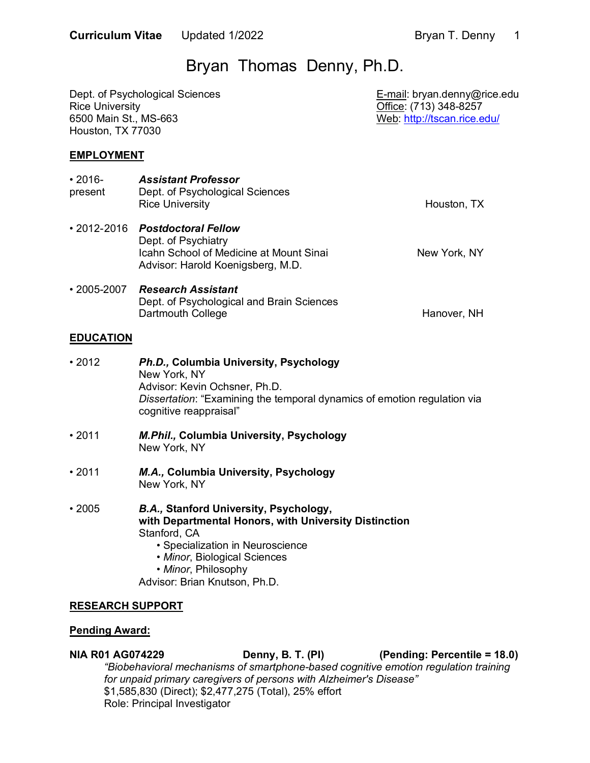# Bryan Thomas Denny, Ph.D.

| Dept. of Psychological Sciences<br><b>Rice University</b><br>6500 Main St., MS-663<br>Houston, TX 77030 |                                                                                                                                                                                                                                                    | E-mail: bryan.denny@rice.edu<br>Office: (713) 348-8257<br>Web: http://tscan.rice.edu/ |  |
|---------------------------------------------------------------------------------------------------------|----------------------------------------------------------------------------------------------------------------------------------------------------------------------------------------------------------------------------------------------------|---------------------------------------------------------------------------------------|--|
| <b>EMPLOYMENT</b>                                                                                       |                                                                                                                                                                                                                                                    |                                                                                       |  |
| $\cdot$ 2016-<br>present                                                                                | <b>Assistant Professor</b><br>Dept. of Psychological Sciences<br><b>Rice University</b>                                                                                                                                                            | Houston, TX                                                                           |  |
| $\cdot$ 2012-2016                                                                                       | <b>Postdoctoral Fellow</b><br>Dept. of Psychiatry<br>Icahn School of Medicine at Mount Sinai<br>Advisor: Harold Koenigsberg, M.D.                                                                                                                  | New York, NY                                                                          |  |
| $\cdot$ 2005-2007                                                                                       | <b>Research Assistant</b><br>Dept. of Psychological and Brain Sciences<br>Dartmouth College                                                                                                                                                        | Hanover, NH                                                                           |  |
| <b>EDUCATION</b>                                                                                        |                                                                                                                                                                                                                                                    |                                                                                       |  |
| •2012                                                                                                   | Ph.D., Columbia University, Psychology<br>New York, NY<br>Advisor: Kevin Ochsner, Ph.D.<br>Dissertation: "Examining the temporal dynamics of emotion regulation via<br>cognitive reappraisal"                                                      |                                                                                       |  |
| •2011                                                                                                   | M.Phil., Columbia University, Psychology<br>New York, NY                                                                                                                                                                                           |                                                                                       |  |
| •2011                                                                                                   | M.A., Columbia University, Psychology<br>New York, NY                                                                                                                                                                                              |                                                                                       |  |
| $\cdot$ 2005                                                                                            | <b>B.A., Stanford University, Psychology,</b><br>with Departmental Honors, with University Distinction<br>Stanford, CA<br>· Specialization in Neuroscience<br>• Minor, Biological Sciences<br>· Minor, Philosophy<br>Advisor: Brian Knutson, Ph.D. |                                                                                       |  |
| <b>RESEARCH SUPPORT</b>                                                                                 |                                                                                                                                                                                                                                                    |                                                                                       |  |
| <b>Pending Award:</b>                                                                                   |                                                                                                                                                                                                                                                    |                                                                                       |  |

**NIA R01 AG074229**  *"Biobehavioral mechanisms of smartphone-based cognitive emotion regulation training*  \$1,585,830 (Direct); \$2,477,275 (Total), 25% effort Role: Principal Investigator **Denny, B. T. (PI) (Pending: Percentile = 18.0)** *for unpaid primary caregivers of persons with Alzheimer's Disease"*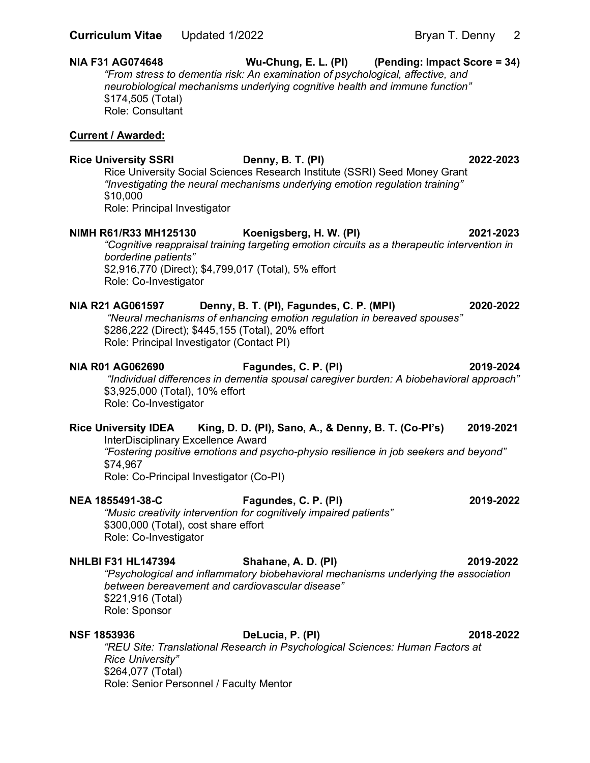#### **NIA F31 AG074648**  *"From stress to dementia risk: An examination of psychological, affective, and neurobiological mechanisms underlying cognitive health and immune function"*  Wu-Chung, E. L. (PI) (Pending: Impact Score = 34) \$174,505 (Total) Role: Consultant

#### **Current / Awarded:**

 **Rice University SSRI Denny, B. T. (PI) 2022-2023**  Rice University Social Sciences Research Institute (SSRI) Seed Money Grant  *"Investigating the neural mechanisms underlying emotion regulation training"*  \$10,000 Role: Principal Investigator

#### **NIMH R61/R33 MH125130** Koenigsberg, H. W. (PI) 2021-2023

 *"Cognitive reappraisal training targeting emotion circuits as a therapeutic intervention in*  \$2,916,770 (Direct); \$4,799,017 (Total), 5% effort *borderline patients"*  Role: Co-Investigator

#### **NIA R21 AG061597 NIA R21 AG061597 Denny, B. T. (PI), Fagundes, C. P. (MPI) 2020-2022**

 \$286,222 (Direct); \$445,155 (Total), 20% effort Role: Principal Investigator (Contact PI) *"Neural mechanisms of enhancing emotion regulation in bereaved spouses"* 

#### **NIA R01 AG062690**

**NIA R01 AG062690 Fagundes, C. P. (PI) 2019-2024** 

 \$3,925,000 (Total), 10% effort *"Individual differences in dementia spousal caregiver burden: A biobehavioral approach"*  Role: Co-Investigator

#### **Rice University IDEA**  InterDisciplinary Excellence Award King, D. D. (PI), Sano, A., & Denny, B. T. (Co-PI's) 2019-2021

 *"Fostering positive emotions and psycho-physio resilience in job seekers and beyond"*  Role: Co-Principal Investigator (Co-PI) \$74,967

## **NEA 1855491-38-C**

# **NEA 1855491-38-C Fagundes, C. P. (PI) 2019-2022**

 *"Music creativity intervention for cognitively impaired patients"*  \$300,000 (Total), cost share effort Role: Co-Investigator

#### **NHLBI F31 HL147394 Shahane, A. D. (PI) 2019-2022**

 *"Psychological and inflammatory biobehavioral mechanisms underlying the association between bereavement and cardiovascular disease"*  \$221,916 (Total) Role: Sponsor

#### **NSF 1853936**

**NSF 1853936 DeLucia, P. (PI) 2018-2022** 

 *"REU Site: Translational Research in Psychological Sciences: Human Factors at Rice University"*  \$264,077 (Total) Role: Senior Personnel / Faculty Mentor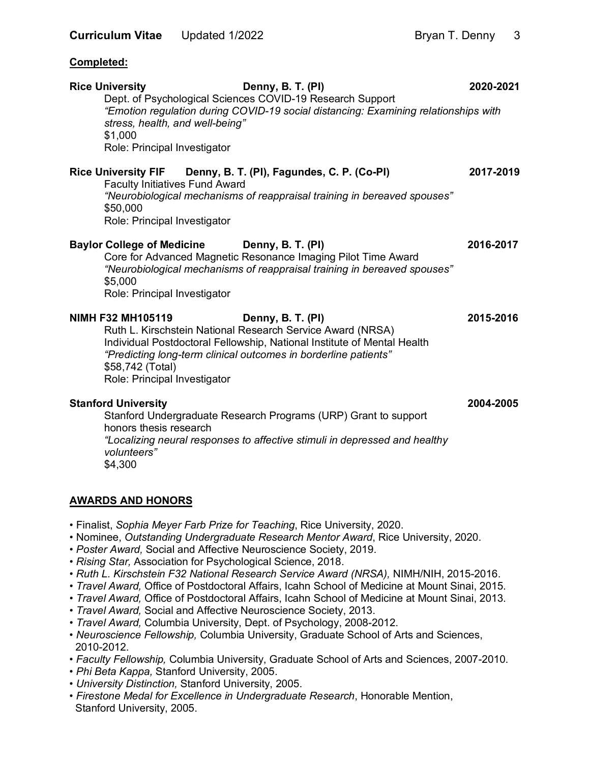**Completed:** 

## Rice University **Denny, B. T. (PI)** 2020-2021 Dept. of Psychological Sciences COVID-19 Research Support  *"Emotion regulation during COVID-19 social distancing: Examining relationships with stress, health, and well-being"*  Role: Principal Investigator **Rice University FIF**  Faculty Initiatives Fund Award  *"Neurobiological mechanisms of reappraisal training in bereaved spouses"*  Role: Principal Investigator Baylor College of Medicine Denny, B. T. (PI) **2016-2017**  Core for Advanced Magnetic Resonance Imaging Pilot Time Award  *"Neurobiological mechanisms of reappraisal training in bereaved spouses"*  Role: Principal Investigator  **NIMH F32 MH105119 Denny, B. T. (PI) 2015-2016**  Ruth L. Kirschstein National Research Service Award (NRSA) Individual Postdoctoral Fellowship, National Institute of Mental Health  *"Predicting long-term clinical outcomes in borderline patients"*  \$58,742 (Total) Role: Principal Investigator  **Stanford University 2004-2005**  Stanford Undergraduate Research Programs (URP) Grant to support  *"Localizing neural responses to affective stimuli in depressed and healthy*  \$1,000 **Denny, B. T. (PI), Fagundes, C. P. (Co-PI) 2017-2019** \$50,000 \$5,000 honors thesis research *volunteers"*  \$4,300

#### **AWARDS AND HONORS**

- Finalist, *Sophia Meyer Farb Prize for Teaching*, Rice University, 2020.
- Nominee, *Outstanding Undergraduate Research Mentor Award*, Rice University, 2020.
- *Poster Award,* Social and Affective Neuroscience Society, 2019.
- *Rising Star,* Association for Psychological Science, 2018.
- *Ruth L. Kirschstein F32 National Research Service Award (NRSA),* NIMH/NIH, 2015-2016.
- *Travel Award,* Office of Postdoctoral Affairs, Icahn School of Medicine at Mount Sinai, 2015.
- *Travel Award,* Office of Postdoctoral Affairs, Icahn School of Medicine at Mount Sinai, 2013.
- *Travel Award,* Social and Affective Neuroscience Society, 2013.
- *Travel Award,* Columbia University, Dept. of Psychology, 2008-2012.
- *Neuroscience Fellowship,* Columbia University, Graduate School of Arts and Sciences, 2010-2012.
- *Faculty Fellowship,* Columbia University, Graduate School of Arts and Sciences, 2007-2010.
- *Phi Beta Kappa,* Stanford University, 2005.
- *University Distinction,* Stanford University, 2005.
- *Firestone Medal for Excellence in Undergraduate Research*, Honorable Mention, Stanford University, 2005.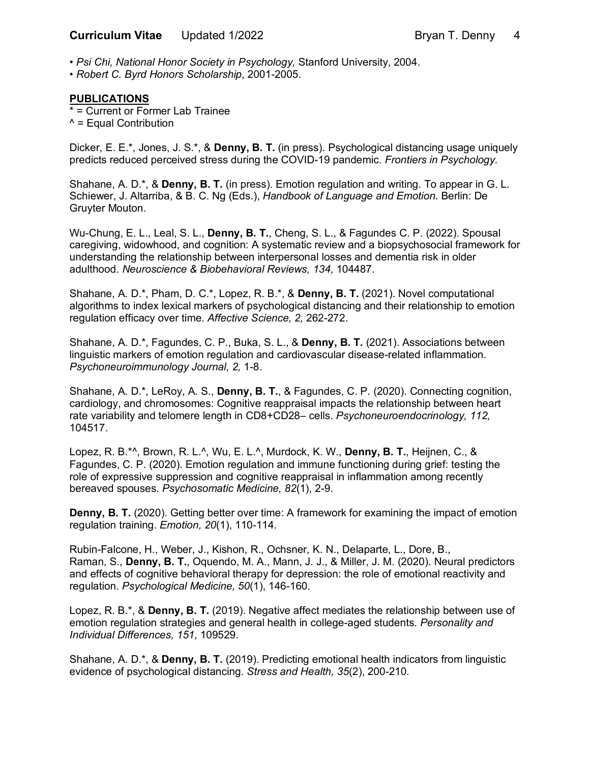• *Psi Chi, National Honor Society in Psychology,* Stanford University, 2004.

 • *Robert C. Byrd Honors Scholarship*, 2001-2005.

#### **PUBLICATIONS**

 \* = Current or Former Lab Trainee ^ = Equal Contribution

 Dicker, E. E.\*, Jones, J. S.\*, & **Denny, B. T.** (in press). Psychological distancing usage uniquely predicts reduced perceived stress during the COVID-19 pandemic. *Frontiers in Psychology.* 

 Shahane, A. D.\*, & **Denny, B. T.** (in press). Emotion regulation and writing. To appear in G. L. Schiewer, J. Altarriba, & B. C. Ng (Eds.), *Handbook of Language and Emotion*. Berlin: De Gruyter Mouton.

 Wu-Chung, E. L., Leal, S. L., **Denny, B. T.**, Cheng, S. L., & Fagundes C. P. (2022). Spousal caregiving, widowhood, and cognition: A systematic review and a biopsychosocial framework for understanding the relationship between interpersonal losses and dementia risk in older  adulthood. *Neuroscience & Biobehavioral Reviews, 134,* 104487.

 Shahane, A. D.\*, Pham, D. C.\*, Lopez, R. B.\*, & **Denny, B. T.** (2021). Novel computational algorithms to index lexical markers of psychological distancing and their relationship to emotion regulation efficacy over time. *Affective Science, 2,* 262-272.

 Shahane, A. D.\*, Fagundes, C. P., Buka, S. L., & **Denny, B. T.** (2021). Associations between linguistic markers of emotion regulation and cardiovascular disease-related inflammation. *Psychoneuroimmunology Journal, 2,* 1-8.

 Shahane, A. D.\*, LeRoy, A. S., **Denny, B. T.**, & Fagundes, C. P. (2020). Connecting cognition, cardiology, and chromosomes: Cognitive reappraisal impacts the relationship between heart rate variability and telomere length in CD8+CD28– cells. *Psychoneuroendocrinology, 112,*  104517.

 Lopez, R. B.\*^, Brown, R. L.^, Wu, E. L.^, Murdock, K. W., **Denny, B. T.**, Heijnen, C., & Fagundes, C. P. (2020). Emotion regulation and immune functioning during grief: testing the role of expressive suppression and cognitive reappraisal in inflammation among recently bereaved spouses. *Psychosomatic Medicine, 82*(1), 2-9*.* 

**Denny, B. T.** (2020). Getting better over time: A framework for examining the impact of emotion  regulation training. *Emotion, 20*(1), 110-114*.* 

 Rubin-Falcone, H., Weber, J., Kishon, R., Ochsner, K. N., Delaparte, L., Dore, B.,  Raman, S., **Denny, B. T.**, Oquendo, M. A., Mann, J. J., & Miller, J. M. (2020). Neural predictors and effects of cognitive behavioral therapy for depression: the role of emotional reactivity and  regulation. *Psychological Medicine, 50*(1), 146-160*.* 

 Lopez, R. B.\*, & **Denny, B. T.** (2019). Negative affect mediates the relationship between use of emotion regulation strategies and general health in college-aged students. *Personality and Individual Differences, 151,* 109529.

 Shahane, A. D.\*, & **Denny, B. T.** (2019). Predicting emotional health indicators from linguistic evidence of psychological distancing. *Stress and Health, 35*(2), 200-210*.*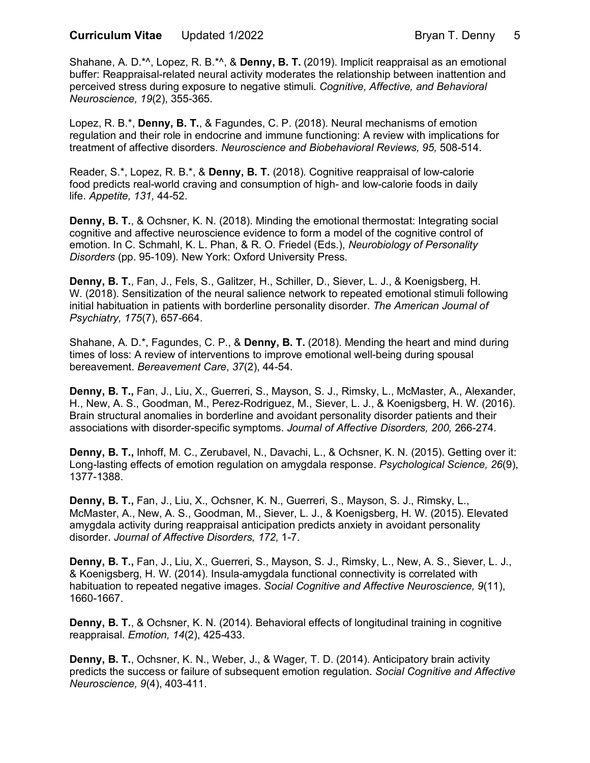Shahane, A. D.\*^, Lopez, R. B.\*^, & **Denny, B. T.** (2019). Implicit reappraisal as an emotional buffer: Reappraisal-related neural activity moderates the relationship between inattention and perceived stress during exposure to negative stimuli. *Cognitive, Affective, and Behavioral Neuroscience, 19*(2), 355-365*.* 

 Lopez, R. B.\*, **Denny, B. T.**, & Fagundes, C. P. (2018). Neural mechanisms of emotion regulation and their role in endocrine and immune functioning: A review with implications for treatment of affective disorders. *Neuroscience and Biobehavioral Reviews, 95,* 508-514.

 Reader, S.\*, Lopez, R. B.\*, & **Denny, B. T.** (2018). Cognitive reappraisal of low-calorie food predicts real-world craving and consumption of high- and low-calorie foods in daily life. *Appetite, 131,* 44-52.

 **Denny, B. T.**, & Ochsner, K. N. (2018). Minding the emotional thermostat: Integrating social cognitive and affective neuroscience evidence to form a model of the cognitive control of emotion. In C. Schmahl, K. L. Phan, & R. O. Friedel (Eds.), *Neurobiology of Personality Disorders* (pp. 95-109). New York: Oxford University Press.

 **Denny, B. T.**, Fan, J., Fels, S., Galitzer, H., Schiller, D., Siever, L. J., & Koenigsberg, H. W. (2018). Sensitization of the neural salience network to repeated emotional stimuli following  initial habituation in patients with borderline personality disorder. *The American Journal of Psychiatry, 175*(7), 657-664.

 Shahane, A. D.\*, Fagundes, C. P., & **Denny, B. T.** (2018). Mending the heart and mind during times of loss: A review of interventions to improve emotional well-being during spousal bereavement. *Bereavement Care*, *37*(2), 44-54.

 **Denny, B. T.,** Fan, J., Liu, X., Guerreri, S., Mayson, S. J., Rimsky, L., McMaster, A., Alexander, H., New, A. S., Goodman, M., Perez-Rodriguez, M., Siever, L. J., & Koenigsberg, H. W. (2016). Brain structural anomalies in borderline and avoidant personality disorder patients and their associations with disorder-specific symptoms. *Journal of Affective Disorders, 200,* 266-274*.* 

 **Denny, B. T.,** Inhoff, M. C., Zerubavel, N., Davachi, L., & Ochsner, K. N. (2015). Getting over it: Long-lasting effects of emotion regulation on amygdala response. *Psychological Science, 26*(9), 1377-1388.

 **Denny, B. T.,** Fan, J., Liu, X., Ochsner, K. N., Guerreri, S., Mayson, S. J., Rimsky, L., McMaster, A., New, A. S., Goodman, M., Siever, L. J., & Koenigsberg, H. W. (2015). Elevated amygdala activity during reappraisal anticipation predicts anxiety in avoidant personality  disorder. *Journal of Affective Disorders, 172,* 1-7.

 **Denny, B. T.,** Fan, J., Liu, X., Guerreri, S., Mayson, S. J., Rimsky, L., New, A. S., Siever, L. J., & Koenigsberg, H. W. (2014). Insula-amygdala functional connectivity is correlated with habituation to repeated negative images. *Social Cognitive and Affective Neuroscience, 9*(11), 1660-1667.

 **Denny, B. T.**, & Ochsner, K. N. (2014). Behavioral effects of longitudinal training in cognitive reappraisal. *Emotion, 14*(2), 425-433.

 **Denny, B. T.**, Ochsner, K. N., Weber, J., & Wager, T. D. (2014). Anticipatory brain activity predicts the success or failure of subsequent emotion regulation. *Social Cognitive and Affective Neuroscience, 9*(4), 403-411.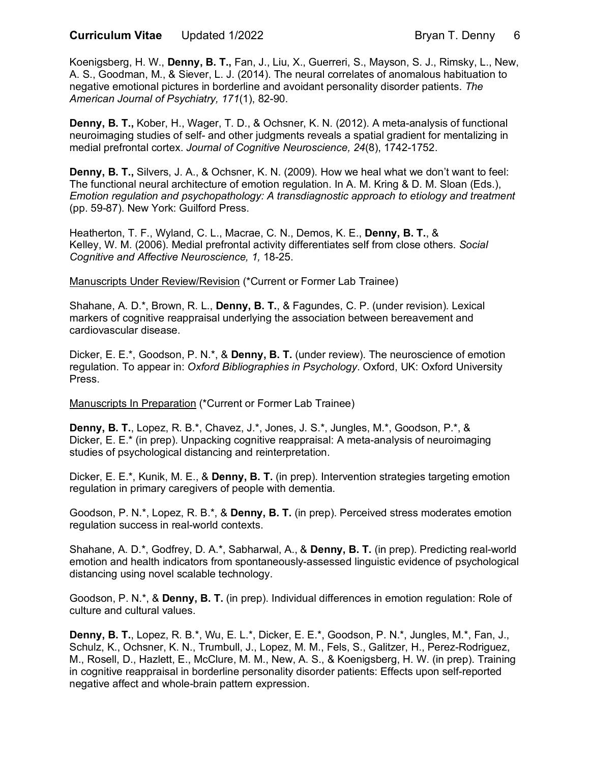Koenigsberg, H. W., **Denny, B. T.,** Fan, J., Liu, X., Guerreri, S., Mayson, S. J., Rimsky, L., New, A. S., Goodman, M., & Siever, L. J. (2014). The neural correlates of anomalous habituation to negative emotional pictures in borderline and avoidant personality disorder patients. *The American Journal of Psychiatry, 171*(1), 82-90.

 **Denny, B. T.,** Kober, H., Wager, T. D., & Ochsner, K. N. (2012). A meta-analysis of functional neuroimaging studies of self- and other judgments reveals a spatial gradient for mentalizing in medial prefrontal cortex. *Journal of Cognitive Neuroscience, 24*(8), 1742-1752.

 **Denny, B. T.,** Silvers, J. A., & Ochsner, K. N. (2009). How we heal what we don't want to feel: The functional neural architecture of emotion regulation. In A. M. Kring & D. M. Sloan (Eds.),  *Emotion regulation and psychopathology: A transdiagnostic approach to etiology and treatment*  (pp. 59-87). New York: Guilford Press.

 Heatherton, T. F., Wyland, C. L., Macrae, C. N., Demos, K. E., **Denny, B. T.**, & Kelley, W. M. (2006). Medial prefrontal activity differentiates self from close others. *Social Cognitive and Affective Neuroscience, 1,* 18-25.

Manuscripts Under Review/Revision (\*Current or Former Lab Trainee)

 Shahane, A. D.\*, Brown, R. L., **Denny, B. T.**, & Fagundes, C. P. (under revision). Lexical markers of cognitive reappraisal underlying the association between bereavement and cardiovascular disease.

 Dicker, E. E.\*, Goodson, P. N.\*, & **Denny, B. T.** (under review). The neuroscience of emotion regulation. To appear in: *Oxford Bibliographies in Psychology*. Oxford, UK: Oxford University Press.

Manuscripts In Preparation (\*Current or Former Lab Trainee)

 **Denny, B. T.**, Lopez, R. B.\*, Chavez, J.\*, Jones, J. S.\*, Jungles, M.\*, Goodson, P.\*, & Dicker, E. E.\* (in prep). Unpacking cognitive reappraisal: A meta-analysis of neuroimaging studies of psychological distancing and reinterpretation.

 Dicker, E. E.\*, Kunik, M. E., & **Denny, B. T.** (in prep). Intervention strategies targeting emotion regulation in primary caregivers of people with dementia.

 Goodson, P. N.\*, Lopez, R. B.\*, & **Denny, B. T.** (in prep). Perceived stress moderates emotion regulation success in real-world contexts.

 Shahane, A. D.\*, Godfrey, D. A.\*, Sabharwal, A., & **Denny, B. T.** (in prep). Predicting real-world emotion and health indicators from spontaneously-assessed linguistic evidence of psychological distancing using novel scalable technology.

 Goodson, P. N.\*, & **Denny, B. T.** (in prep). Individual differences in emotion regulation: Role of culture and cultural values.

 **Denny, B. T.**, Lopez, R. B.\*, Wu, E. L.\*, Dicker, E. E.\*, Goodson, P. N.\*, Jungles, M.\*, Fan, J., Schulz, K., Ochsner, K. N., Trumbull, J., Lopez, M. M., Fels, S., Galitzer, H., Perez-Rodriguez, M., Rosell, D., Hazlett, E., McClure, M. M., New, A. S., & Koenigsberg, H. W. (in prep). Training in cognitive reappraisal in borderline personality disorder patients: Effects upon self-reported negative affect and whole-brain pattern expression.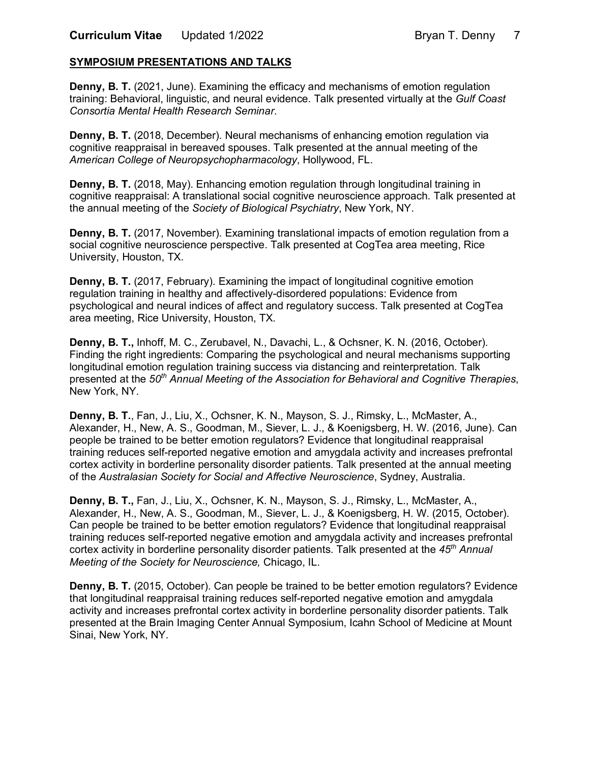#### **SYMPOSIUM PRESENTATIONS AND TALKS**

**Denny, B. T.** (2021, June). Examining the efficacy and mechanisms of emotion regulation training: Behavioral, linguistic, and neural evidence. Talk presented virtually at the *Gulf Coast Consortia Mental Health Research Seminar*.

**Denny, B. T.** (2018, December). Neural mechanisms of enhancing emotion regulation via cognitive reappraisal in bereaved spouses. Talk presented at the annual meeting of the  *American College of Neuropsychopharmacology*, Hollywood, FL.

**Denny, B. T.** (2018, May). Enhancing emotion regulation through longitudinal training in cognitive reappraisal: A translational social cognitive neuroscience approach. Talk presented at the annual meeting of the *Society of Biological Psychiatry*, New York, NY.

 **Denny, B. T.** (2017, November). Examining translational impacts of emotion regulation from a social cognitive neuroscience perspective. Talk presented at CogTea area meeting, Rice University, Houston, TX.

**Denny, B. T.** (2017, February). Examining the impact of longitudinal cognitive emotion regulation training in healthy and affectively-disordered populations: Evidence from psychological and neural indices of affect and regulatory success. Talk presented at CogTea area meeting, Rice University, Houston, TX.

 **Denny, B. T.,** Inhoff, M. C., Zerubavel, N., Davachi, L., & Ochsner, K. N. (2016, October). Finding the right ingredients: Comparing the psychological and neural mechanisms supporting longitudinal emotion regulation training success via distancing and reinterpretation. Talk presented at the *50th Annual Meeting of the Association for Behavioral and Cognitive Therapies*, New York, NY.

 **Denny, B. T.**, Fan, J., Liu, X., Ochsner, K. N., Mayson, S. J., Rimsky, L., McMaster, A., Alexander, H., New, A. S., Goodman, M., Siever, L. J., & Koenigsberg, H. W. (2016, June). Can people be trained to be better emotion regulators? Evidence that longitudinal reappraisal training reduces self-reported negative emotion and amygdala activity and increases prefrontal cortex activity in borderline personality disorder patients. Talk presented at the annual meeting  of the *Australasian Society for Social and Affective Neuroscience*, Sydney, Australia.

 **Denny, B. T.,** Fan, J., Liu, X., Ochsner, K. N., Mayson, S. J., Rimsky, L., McMaster, A., Alexander, H., New, A. S., Goodman, M., Siever, L. J., & Koenigsberg, H. W. (2015, October). Can people be trained to be better emotion regulators? Evidence that longitudinal reappraisal training reduces self-reported negative emotion and amygdala activity and increases prefrontal cortex activity in borderline personality disorder patients. Talk presented at the *45th Annual Meeting of the Society for Neuroscience,* Chicago, IL.

Denny, B. T. (2015, October). Can people be trained to be better emotion regulators? Evidence that longitudinal reappraisal training reduces self-reported negative emotion and amygdala activity and increases prefrontal cortex activity in borderline personality disorder patients. Talk presented at the Brain Imaging Center Annual Symposium, Icahn School of Medicine at Mount Sinai, New York, NY.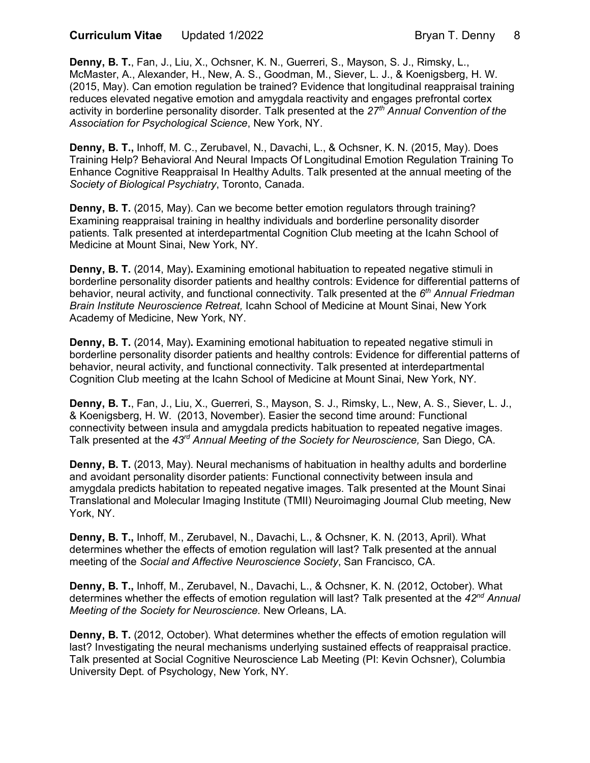**Curriculum Vitae** Updated 1/2022 **Bryan T. Denny 8** 

 **Denny, B. T.**, Fan, J., Liu, X., Ochsner, K. N., Guerreri, S., Mayson, S. J., Rimsky, L., McMaster, A., Alexander, H., New, A. S., Goodman, M., Siever, L. J., & Koenigsberg, H. W. (2015, May). Can emotion regulation be trained? Evidence that longitudinal reappraisal training reduces elevated negative emotion and amygdala reactivity and engages prefrontal cortex activity in borderline personality disorder. Talk presented at the *27th Annual Convention of the Association for Psychological Science*, New York, NY.

 **Denny, B. T.,** Inhoff, M. C., Zerubavel, N., Davachi, L., & Ochsner, K. N. (2015, May). Does Training Help? Behavioral And Neural Impacts Of Longitudinal Emotion Regulation Training To Enhance Cognitive Reappraisal In Healthy Adults. Talk presented at the annual meeting of the  *Society of Biological Psychiatry*, Toronto, Canada.

 **Denny, B. T.** (2015, May). Can we become better emotion regulators through training? Examining reappraisal training in healthy individuals and borderline personality disorder patients. Talk presented at interdepartmental Cognition Club meeting at the Icahn School of Medicine at Mount Sinai, New York, NY.

 **Denny, B. T.** (2014, May)**.** Examining emotional habituation to repeated negative stimuli in borderline personality disorder patients and healthy controls: Evidence for differential patterns of behavior, neural activity, and functional connectivity. Talk presented at the *6th Annual Friedman Brain Institute Neuroscience Retreat,* Icahn School of Medicine at Mount Sinai, New York Academy of Medicine, New York, NY.

**Denny, B. T.** (2014, May). Examining emotional habituation to repeated negative stimuli in borderline personality disorder patients and healthy controls: Evidence for differential patterns of behavior, neural activity, and functional connectivity. Talk presented at interdepartmental Cognition Club meeting at the Icahn School of Medicine at Mount Sinai, New York, NY.

 **Denny, B. T.**, Fan, J., Liu, X., Guerreri, S., Mayson, S. J., Rimsky, L., New, A. S., Siever, L. J., & Koenigsberg, H. W. (2013, November). Easier the second time around: Functional connectivity between insula and amygdala predicts habituation to repeated negative images. Talk presented at the *43rd Annual Meeting of the Society for Neuroscience,* San Diego, CA.

**Denny, B. T.** (2013, May). Neural mechanisms of habituation in healthy adults and borderline and avoidant personality disorder patients: Functional connectivity between insula and amygdala predicts habitation to repeated negative images. Talk presented at the Mount Sinai Translational and Molecular Imaging Institute (TMII) Neuroimaging Journal Club meeting, New York, NY.

 **Denny, B. T.,** Inhoff, M., Zerubavel, N., Davachi, L., & Ochsner, K. N. (2013, April). What determines whether the effects of emotion regulation will last? Talk presented at the annual  meeting of the *Social and Affective Neuroscience Society*, San Francisco, CA.

 **Denny, B. T.,** Inhoff, M., Zerubavel, N., Davachi, L., & Ochsner, K. N. (2012, October). What determines whether the effects of emotion regulation will last? Talk presented at the *42nd Annual Meeting of the Society for Neuroscience*. New Orleans, LA.

**Denny, B. T.** (2012, October). What determines whether the effects of emotion regulation will last? Investigating the neural mechanisms underlying sustained effects of reappraisal practice. Talk presented at Social Cognitive Neuroscience Lab Meeting (PI: Kevin Ochsner), Columbia University Dept. of Psychology, New York, NY.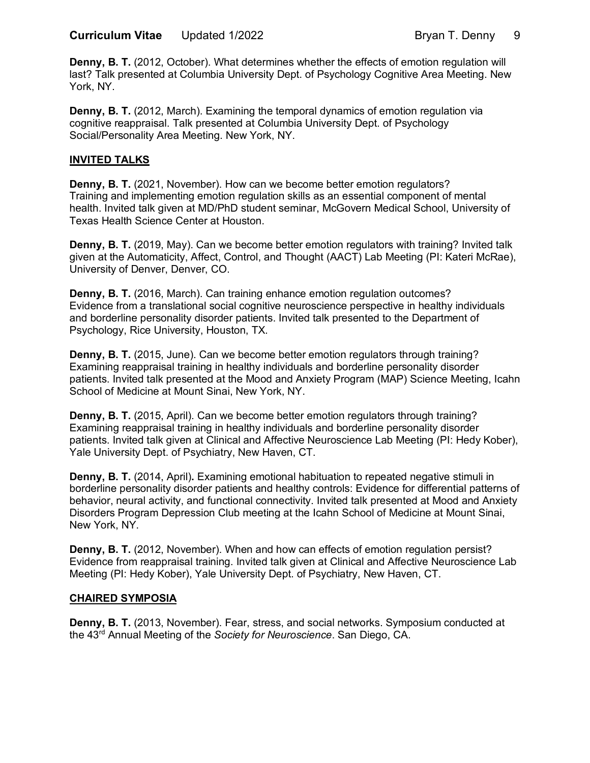**Denny, B. T.** (2012, October). What determines whether the effects of emotion regulation will last? Talk presented at Columbia University Dept. of Psychology Cognitive Area Meeting. New York, NY.

**Denny, B. T.** (2012, March). Examining the temporal dynamics of emotion regulation via cognitive reappraisal. Talk presented at Columbia University Dept. of Psychology Social/Personality Area Meeting. New York, NY.

#### **INVITED TALKS**

 **Denny, B. T.** (2021, November). How can we become better emotion regulators? Training and implementing emotion regulation skills as an essential component of mental health. Invited talk given at MD/PhD student seminar, McGovern Medical School, University of Texas Health Science Center at Houston.

**Denny, B. T.** (2019, May). Can we become better emotion regulators with training? Invited talk given at the Automaticity, Affect, Control, and Thought (AACT) Lab Meeting (PI: Kateri McRae), University of Denver, Denver, CO.

 **Denny, B. T.** (2016, March). Can training enhance emotion regulation outcomes? Evidence from a translational social cognitive neuroscience perspective in healthy individuals and borderline personality disorder patients. Invited talk presented to the Department of Psychology, Rice University, Houston, TX.

 **Denny, B. T.** (2015, June). Can we become better emotion regulators through training? Examining reappraisal training in healthy individuals and borderline personality disorder patients. Invited talk presented at the Mood and Anxiety Program (MAP) Science Meeting, Icahn School of Medicine at Mount Sinai, New York, NY.

 **Denny, B. T.** (2015, April). Can we become better emotion regulators through training? Examining reappraisal training in healthy individuals and borderline personality disorder patients. Invited talk given at Clinical and Affective Neuroscience Lab Meeting (PI: Hedy Kober), Yale University Dept. of Psychiatry, New Haven, CT.

 **Denny, B. T.** (2014, April)**.** Examining emotional habituation to repeated negative stimuli in borderline personality disorder patients and healthy controls: Evidence for differential patterns of behavior, neural activity, and functional connectivity. Invited talk presented at Mood and Anxiety Disorders Program Depression Club meeting at the Icahn School of Medicine at Mount Sinai, New York, NY.

 **Denny, B. T.** (2012, November). When and how can effects of emotion regulation persist? Evidence from reappraisal training. Invited talk given at Clinical and Affective Neuroscience Lab Meeting (PI: Hedy Kober), Yale University Dept. of Psychiatry, New Haven, CT.

#### **CHAIRED SYMPOSIA**

Denny, B. T. (2013, November). Fear, stress, and social networks. Symposium conducted at the 43rd Annual Meeting of the *Society for Neuroscience*. San Diego, CA.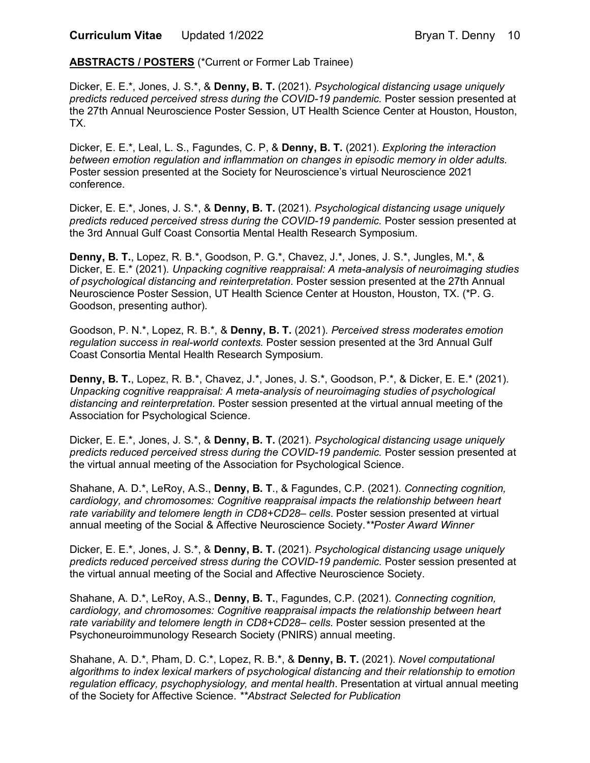**ABSTRACTS / POSTERS** (\*Current or Former Lab Trainee)

 Dicker, E. E.\*, Jones, J. S.\*, & **Denny, B. T.** (2021). *Psychological distancing usage uniquely predicts reduced perceived stress during the COVID-19 pandemic.* Poster session presented at the 27th Annual Neuroscience Poster Session, UT Health Science Center at Houston, Houston, TX.

 Dicker, E. E.\*, Leal, L. S., Fagundes, C. P, & **Denny, B. T.** (2021). *Exploring the interaction between emotion regulation and inflammation on changes in episodic memory in older adults.*  Poster session presented at the Society for Neuroscience's virtual Neuroscience 2021 conference.

conference.<br>Dicker, E. E.\*, Jones, J. S.\*, & **Denny, B. T.** (2021). *Psychological distancing usage uniquely predicts reduced perceived stress during the COVID-19 pandemic.* Poster session presented at the 3rd Annual Gulf Coast Consortia Mental Health Research Symposium.

 **Denny, B. T.**, Lopez, R. B.\*, Goodson, P. G.\*, Chavez, J.\*, Jones, J. S.\*, Jungles, M.\*, & Dicker, E. E.\* (2021). *Unpacking cognitive reappraisal: A meta-analysis of neuroimaging studies of psychological distancing and reinterpretation.* Poster session presented at the 27th Annual Neuroscience Poster Session, UT Health Science Center at Houston, Houston, TX. (\*P. G. Goodson, presenting author).

 Goodson, P. N.\*, Lopez, R. B.\*, & **Denny, B. T.** (2021). *Perceived stress moderates emotion regulation success in real-world contexts.* Poster session presented at the 3rd Annual Gulf Coast Consortia Mental Health Research Symposium.

 **Denny, B. T.**, Lopez, R. B.\*, Chavez, J.\*, Jones, J. S.\*, Goodson, P.\*, & Dicker, E. E.\* (2021).  *Unpacking cognitive reappraisal: A meta-analysis of neuroimaging studies of psychological distancing and reinterpretation*. Poster session presented at the virtual annual meeting of the Association for Psychological Science.

 Dicker, E. E.\*, Jones, J. S.\*, & **Denny, B. T.** (2021). *Psychological distancing usage uniquely predicts reduced perceived stress during the COVID-19 pandemic.* Poster session presented at the virtual annual meeting of the Association for Psychological Science.

 Shahane, A. D.\*, LeRoy, A.S., **Denny, B. T**., & Fagundes, C.P. (2021). *Connecting cognition,*  cardiology, and chromosomes: Cognitive reappraisal impacts the relationship between heart rate variability and telomere length in CD8+CD28– cells. Poster session presented at virtual annual meeting of the Social & Affective Neuroscience Society.*\*\*Poster Award Winner* 

 Dicker, E. E.\*, Jones, J. S.\*, & **Denny, B. T.** (2021). *Psychological distancing usage uniquely predicts reduced perceived stress during the COVID-19 pandemic.* Poster session presented at the virtual annual meeting of the Social and Affective Neuroscience Society.

 Shahane, A. D.\*, LeRoy, A.S., **Denny, B. T.**, Fagundes, C.P. (2021). *Connecting cognition,*  cardiology, and chromosomes: Cognitive reappraisal impacts the relationship between heart rate variability and telomere length in CD8+CD28- cells. Poster session presented at the Psychoneuroimmunology Research Society (PNIRS) annual meeting.

 Shahane, A. D.\*, Pham, D. C.\*, Lopez, R. B.\*, & **Denny, B. T.** (2021). *Novel computational algorithms to index lexical markers of psychological distancing and their relationship to emotion regulation efficacy, psychophysiology, and mental health*. Presentation at virtual annual meeting of the Society for Affective Science. *\*\*Abstract Selected for Publication*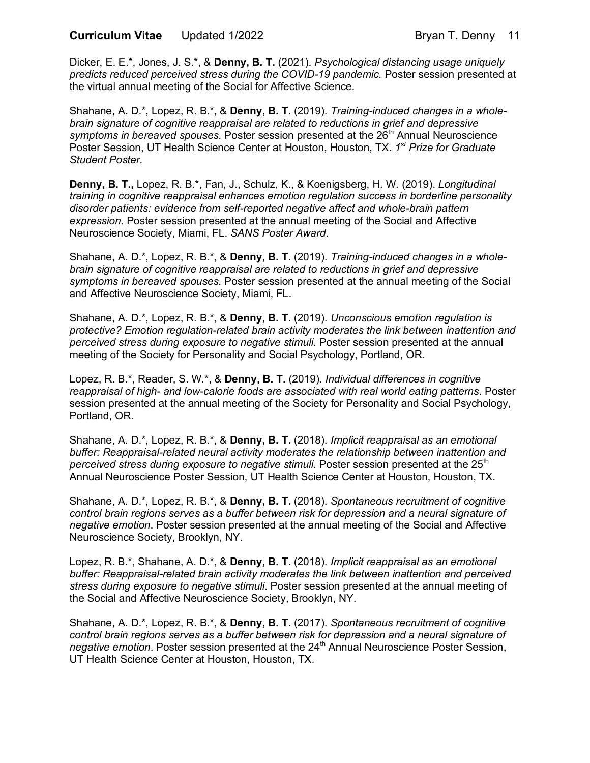Dicker, E. E.\*, Jones, J. S.\*, & **Denny, B. T.** (2021). *Psychological distancing usage uniquely predicts reduced perceived stress during the COVID-19 pandemic.* Poster session presented at the virtual annual meeting of the Social for Affective Science.

 Shahane, A. D.\*, Lopez, R. B.\*, & **Denny, B. T.** (2019). *Training-induced changes in a whole- brain signature of cognitive reappraisal are related to reductions in grief and depressive*  symptoms in bereaved spouses. Poster session presented at the 26<sup>th</sup> Annual Neuroscience Poster Session, UT Health Science Center at Houston, Houston, TX. *1st Prize for Graduate Student Poster.* 

 **Denny, B. T.,** Lopez, R. B.\*, Fan, J., Schulz, K., & Koenigsberg, H. W. (2019). *Longitudinal training in cognitive reappraisal enhances emotion regulation success in borderline personality disorder patients: evidence from self-reported negative affect and whole-brain pattern expression.* Poster session presented at the annual meeting of the Social and Affective Neuroscience Society, Miami, FL. *SANS Poster Award*.

 Shahane, A. D.\*, Lopez, R. B.\*, & **Denny, B. T.** (2019). *Training-induced changes in a whole- brain signature of cognitive reappraisal are related to reductions in grief and depressive symptoms in bereaved spouses.* Poster session presented at the annual meeting of the Social and Affective Neuroscience Society, Miami, FL.

 Shahane, A. D.\*, Lopez, R. B.\*, & **Denny, B. T.** (2019). *Unconscious emotion regulation is protective? Emotion regulation-related brain activity moderates the link between inattention and perceived stress during exposure to negative stimuli*. Poster session presented at the annual meeting of the Society for Personality and Social Psychology, Portland, OR.

 Lopez, R. B.\*, Reader, S. W.\*, & **Denny, B. T.** (2019). *Individual differences in cognitive reappraisal of high- and low-calorie foods are associated with real world eating patterns*. Poster session presented at the annual meeting of the Society for Personality and Social Psychology, Portland, OR.

 Shahane, A. D.\*, Lopez, R. B.\*, & **Denny, B. T.** (2018). *Implicit reappraisal as an emotional buffer: Reappraisal-related neural activity moderates the relationship between inattention and*  perceived stress during exposure to negative stimuli. Poster session presented at the 25<sup>th</sup> Annual Neuroscience Poster Session, UT Health Science Center at Houston, Houston, TX.

 Shahane, A. D.\*, Lopez, R. B.\*, & **Denny, B. T.** (2018). *Spontaneous recruitment of cognitive control brain regions serves as a buffer between risk for depression and a neural signature of negative emotion*. Poster session presented at the annual meeting of the Social and Affective Neuroscience Society, Brooklyn, NY.

 Lopez, R. B.\*, Shahane, A. D.\*, & **Denny, B. T.** (2018). *Implicit reappraisal as an emotional buffer: Reappraisal-related brain activity moderates the link between inattention and perceived stress during exposure to negative stimuli*. Poster session presented at the annual meeting of the Social and Affective Neuroscience Society, Brooklyn, NY.

 Shahane, A. D.\*, Lopez, R. B.\*, & **Denny, B. T.** (2017). *Spontaneous recruitment of cognitive control brain regions serves as a buffer between risk for depression and a neural signature of*  negative emotion. Poster session presented at the 24<sup>th</sup> Annual Neuroscience Poster Session, UT Health Science Center at Houston, Houston, TX.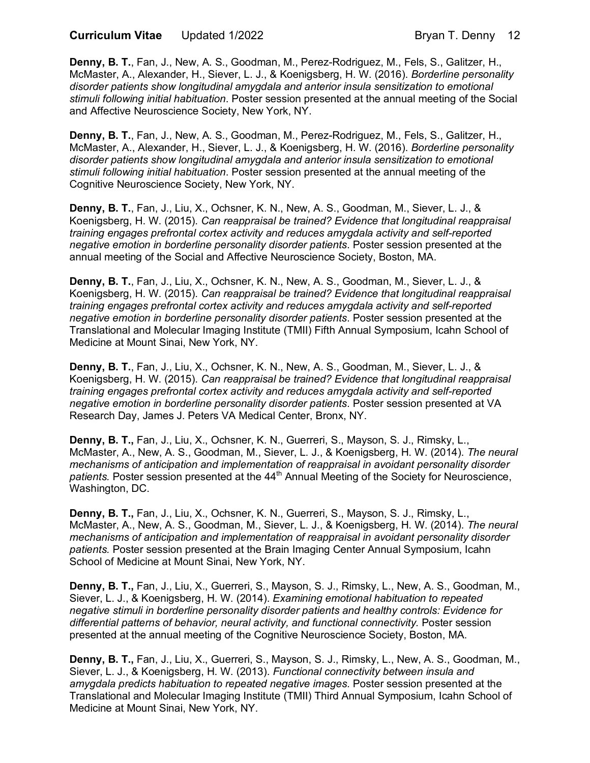**Curriculum Vitae** 

 **Denny, B. T.**, Fan, J., New, A. S., Goodman, M., Perez-Rodriguez, M., Fels, S., Galitzer, H., McMaster, A., Alexander, H., Siever, L. J., & Koenigsberg, H. W. (2016). *Borderline personality disorder patients show longitudinal amygdala and anterior insula sensitization to emotional stimuli following initial habituation*. Poster session presented at the annual meeting of the Social and Affective Neuroscience Society, New York, NY.

 **Denny, B. T.**, Fan, J., New, A. S., Goodman, M., Perez-Rodriguez, M., Fels, S., Galitzer, H., McMaster, A., Alexander, H., Siever, L. J., & Koenigsberg, H. W. (2016). *Borderline personality disorder patients show longitudinal amygdala and anterior insula sensitization to emotional stimuli following initial habituation*. Poster session presented at the annual meeting of the Cognitive Neuroscience Society, New York, NY.

 **Denny, B. T.**, Fan, J., Liu, X., Ochsner, K. N., New, A. S., Goodman, M., Siever, L. J., &  Koenigsberg, H. W. (2015). *Can reappraisal be trained? Evidence that longitudinal reappraisal training engages prefrontal cortex activity and reduces amygdala activity and self-reported negative emotion in borderline personality disorder patients*. Poster session presented at the annual meeting of the Social and Affective Neuroscience Society, Boston, MA.

 **Denny, B. T.**, Fan, J., Liu, X., Ochsner, K. N., New, A. S., Goodman, M., Siever, L. J., & Koenigsberg, H. W. (2015). *Can reappraisal be trained? Evidence that longitudinal reappraisal training engages prefrontal cortex activity and reduces amygdala activity and self-reported negative emotion in borderline personality disorder patients*. Poster session presented at the Translational and Molecular Imaging Institute (TMII) Fifth Annual Symposium, Icahn School of Medicine at Mount Sinai, New York, NY.

 **Denny, B. T.**, Fan, J., Liu, X., Ochsner, K. N., New, A. S., Goodman, M., Siever, L. J., & Koenigsberg, H. W. (2015). *Can reappraisal be trained? Evidence that longitudinal reappraisal training engages prefrontal cortex activity and reduces amygdala activity and self-reported negative emotion in borderline personality disorder patients*. Poster session presented at VA Research Day, James J. Peters VA Medical Center, Bronx, NY.

 **Denny, B. T.,** Fan, J., Liu, X., Ochsner, K. N., Guerreri, S., Mayson, S. J., Rimsky, L., McMaster, A., New, A. S., Goodman, M., Siever, L. J., & Koenigsberg, H. W. (2014). *The neural mechanisms of anticipation and implementation of reappraisal in avoidant personality disorder*  patients. Poster session presented at the 44<sup>th</sup> Annual Meeting of the Society for Neuroscience, Washington, DC.

 **Denny, B. T.,** Fan, J., Liu, X., Ochsner, K. N., Guerreri, S., Mayson, S. J., Rimsky, L., McMaster, A., New, A. S., Goodman, M., Siever, L. J., & Koenigsberg, H. W. (2014). *The neural mechanisms of anticipation and implementation of reappraisal in avoidant personality disorder patients.* Poster session presented at the Brain Imaging Center Annual Symposium, Icahn School of Medicine at Mount Sinai, New York, NY.

 **Denny, B. T.,** Fan, J., Liu, X., Guerreri, S., Mayson, S. J., Rimsky, L., New, A. S., Goodman, M., Siever, L. J., & Koenigsberg, H. W. (2014). *Examining emotional habituation to repeated negative stimuli in borderline personality disorder patients and healthy controls: Evidence for*  differential patterns of behavior, neural activity, and functional connectivity. Poster session presented at the annual meeting of the Cognitive Neuroscience Society, Boston, MA.

 **Denny, B. T.,** Fan, J., Liu, X., Guerreri, S., Mayson, S. J., Rimsky, L., New, A. S., Goodman, M., Siever, L. J., & Koenigsberg, H. W. (2013). *Functional connectivity between insula and*  amygdala predicts habituation to repeated negative images. Poster session presented at the Translational and Molecular Imaging Institute (TMII) Third Annual Symposium, Icahn School of Medicine at Mount Sinai, New York, NY.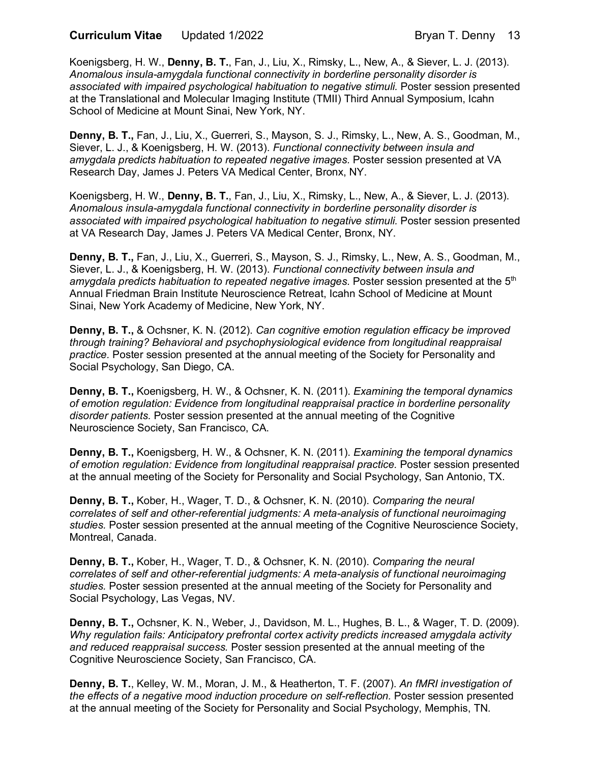**Curriculum Vitae** 

 Koenigsberg, H. W., **Denny, B. T.**, Fan, J., Liu, X., Rimsky, L., New, A., & Siever, L. J. (2013).  *Anomalous insula-amygdala functional connectivity in borderline personality disorder is*  associated with impaired psychological habituation to negative stimuli. Poster session presented at the Translational and Molecular Imaging Institute (TMII) Third Annual Symposium, Icahn School of Medicine at Mount Sinai, New York, NY.

 **Denny, B. T.,** Fan, J., Liu, X., Guerreri, S., Mayson, S. J., Rimsky, L., New, A. S., Goodman, M., Siever, L. J., & Koenigsberg, H. W. (2013). *Functional connectivity between insula and*  amygdala predicts habituation to repeated negative images. Poster session presented at VA Research Day, James J. Peters VA Medical Center, Bronx, NY.

 Koenigsberg, H. W., **Denny, B. T.**, Fan, J., Liu, X., Rimsky, L., New, A., & Siever, L. J. (2013).  *Anomalous insula-amygdala functional connectivity in borderline personality disorder is*  associated with impaired psychological habituation to negative stimuli. Poster session presented at VA Research Day, James J. Peters VA Medical Center, Bronx, NY.

 **Denny, B. T.,** Fan, J., Liu, X., Guerreri, S., Mayson, S. J., Rimsky, L., New, A. S., Goodman, M., Siever, L. J., & Koenigsberg, H. W. (2013). *Functional connectivity between insula and*  amygdala predicts habituation to repeated negative images. Poster session presented at the 5<sup>th</sup> Annual Friedman Brain Institute Neuroscience Retreat, Icahn School of Medicine at Mount Sinai, New York Academy of Medicine, New York, NY.

 **Denny, B. T.,** & Ochsner, K. N. (2012). *Can cognitive emotion regulation efficacy be improved through training? Behavioral and psychophysiological evidence from longitudinal reappraisal practice.* Poster session presented at the annual meeting of the Society for Personality and Social Psychology, San Diego, CA.

 **Denny, B. T.,** Koenigsberg, H. W., & Ochsner, K. N. (2011). *Examining the temporal dynamics of emotion regulation: Evidence from longitudinal reappraisal practice in borderline personality disorder patients.* Poster session presented at the annual meeting of the Cognitive Neuroscience Society, San Francisco, CA.

 **Denny, B. T.,** Koenigsberg, H. W., & Ochsner, K. N. (2011). *Examining the temporal dynamics*  of emotion regulation: Evidence from longitudinal reappraisal practice. Poster session presented at the annual meeting of the Society for Personality and Social Psychology, San Antonio, TX.

 **Denny, B. T.,** Kober, H., Wager, T. D., & Ochsner, K. N. (2010). *Comparing the neural correlates of self and other-referential judgments: A meta-analysis of functional neuroimaging studies.* Poster session presented at the annual meeting of the Cognitive Neuroscience Society, Montreal, Canada.

 **Denny, B. T.,** Kober, H., Wager, T. D., & Ochsner, K. N. (2010). *Comparing the neural correlates of self and other-referential judgments: A meta-analysis of functional neuroimaging studies.* Poster session presented at the annual meeting of the Society for Personality and Social Psychology, Las Vegas, NV.

 **Denny, B. T.,** Ochsner, K. N., Weber, J., Davidson, M. L., Hughes, B. L., & Wager, T. D. (2009).  *Why regulation fails: Anticipatory prefrontal cortex activity predicts increased amygdala activity and reduced reappraisal success.* Poster session presented at the annual meeting of the Cognitive Neuroscience Society, San Francisco, CA.

 **Denny, B. T.**, Kelley, W. M., Moran, J. M., & Heatherton, T. F. (2007). *An fMRI investigation of*  the effects of a negative mood induction procedure on self-reflection. Poster session presented at the annual meeting of the Society for Personality and Social Psychology, Memphis, TN.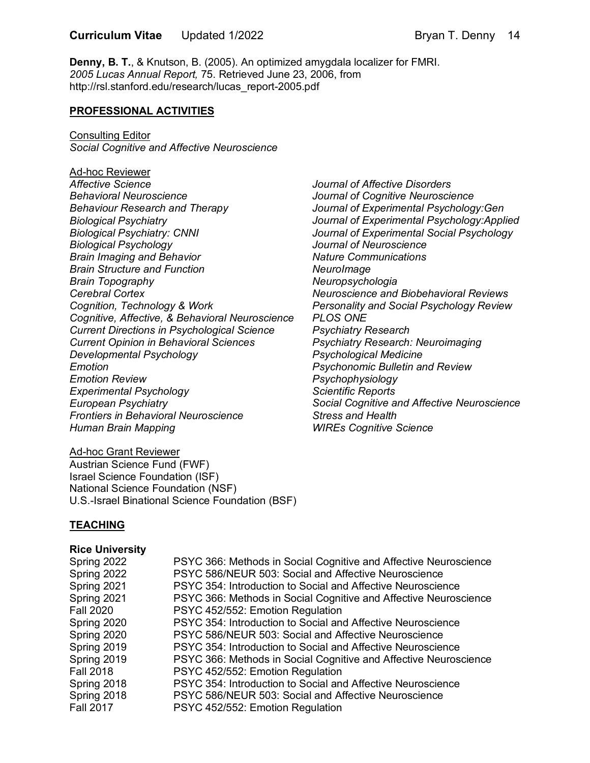**Denny, B. T.**, & Knutson, B. (2005). An optimized amygdala localizer for FMRI.  *2005 Lucas Annual Report,* 75. Retrieved June 23, 2006, from [http://rsl.stanford.edu/research/lucas\\_report-2005.pdf](http://rsl.stanford.edu/research/lucas_report-2005.pdf) 

### **PROFESSIONAL ACTIVITIES**

 *Social Cognitive and Affective Neuroscience*  Consulting Editor

 *Affective Science*  **Behavioral Neuroscience**  *Behavioral Neuroscience Behaviour Research and Therapy Biological Psychiatry Biological Psychiatry: CNNI*  **Biological Psychology** *Biological Psychology<br>Brain Imaging and Behavior Brain Structure and Function*  **Cerebral Cortex**  *Cerebral Cortex Cognition, Technology & Work Cognitive, Affective, & Behavioral Neuroscience Current Directions in Psychological Science Current Opinion in Behavioral Sciences Developmental Psychology Emotion Emotion Review <u>Emotion</u> Emotion Review Experimental Psychology European Psychiatry*  **European Psychiatry**  *Frontiers in Behavioral Neuroscience Human Brain Mapping*  Ad-hoc Reviewer *Brain Topography* 

*Journal of Affective Disorders Journal of Cognitive Neuroscience Journal of Experimental Psychology:Gen Journal of Experimental Psychology:Applied Journal of Experimental Social Psychology Journal of Neuroscience Nature Communications NeuroImage Neuropsychologia Neuroscience and Biobehavioral Reviews Personality and Social Psychology Review PLOS ONE Psychiatry Research Psychiatry Research: Neuroimaging Psychological Medicine Psychonomic Bulletin and Review Psychophysiology Scientific Reports Social Cognitive and Affective Neuroscience Stress and Health WIREs Cognitive Science* 

#### Austrian Science Fund (FWF) Israel Science Foundation (ISF) National Science Foundation (NSF) U.S.-Israel Binational Science Foundation (BSF) Ad-hoc Grant Reviewer

#### **TEACHING**

#### **Rice University**

Spring 2022 Spring 2022 Spring 2021 Spring 2021 **Fall 2020** Spring 2020 Spring 2020 Spring 2019 Spring 2019 **Fall 2018** Spring 2018 Spring 2018 **Fall 2017** 

PSYC 366: Methods in Social Cognitive and Affective Neuroscience PSYC 586/NEUR 503: Social and Affective Neuroscience PSYC 354: Introduction to Social and Affective Neuroscience PSYC 366: Methods in Social Cognitive and Affective Neuroscience PSYC 452/552: Emotion Regulation **PSYC 354: Introduction to Social and Affective Neuroscience** PSYC 586/NEUR 503: Social and Affective Neuroscience PSYC 354: Introduction to Social and Affective Neuroscience **PSYC 366: Methods in Social Cognitive and Affective Neuroscience** PSYC 452/552: Emotion Regulation PSYC 354: Introduction to Social and Affective Neuroscience PSYC 586/NEUR 503: Social and Affective Neuroscience PSYC 452/552: Emotion Regulation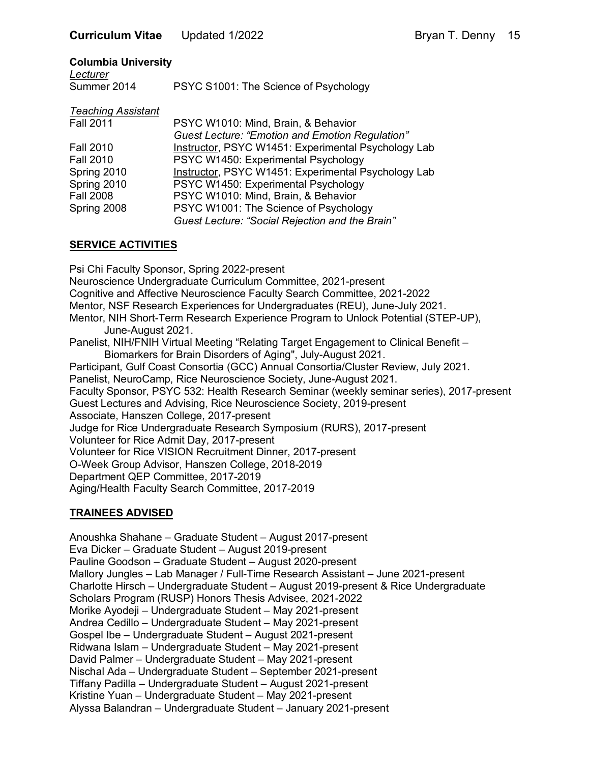### **Columbia University**

| Lecturer    |                                       |
|-------------|---------------------------------------|
| Summer 2014 | PSYC S1001: The Science of Psychology |

| <b>Teaching Assistant</b> |                                                        |
|---------------------------|--------------------------------------------------------|
| <b>Fall 2011</b>          | PSYC W1010: Mind, Brain, & Behavior                    |
|                           | <b>Guest Lecture: "Emotion and Emotion Regulation"</b> |
| <b>Fall 2010</b>          | Instructor, PSYC W1451: Experimental Psychology Lab    |
| <b>Fall 2010</b>          | PSYC W1450: Experimental Psychology                    |
| Spring 2010               | Instructor, PSYC W1451: Experimental Psychology Lab    |
| Spring 2010               | PSYC W1450: Experimental Psychology                    |
| <b>Fall 2008</b>          | PSYC W1010: Mind, Brain, & Behavior                    |
| Spring 2008               | PSYC W1001: The Science of Psychology                  |
|                           | Guest Lecture: "Social Rejection and the Brain"        |

#### **SERVICE ACTIVITIES**

 Psi Chi Faculty Sponsor, Spring 2022-present Neuroscience Undergraduate Curriculum Committee, 2021-present Cognitive and Affective Neuroscience Faculty Search Committee, 2021-2022 Mentor, NSF Research Experiences for Undergraduates (REU), June-July 2021. Mentor, NIH Short-Term Research Experience Program to Unlock Potential (STEP-UP), June-August 2021. Panelist, NIH/FNIH Virtual Meeting "Relating Target Engagement to Clinical Benefit – Biomarkers for Brain Disorders of Aging", July-August 2021. Participant, Gulf Coast Consortia (GCC) Annual Consortia/Cluster Review, July 2021. Panelist, NeuroCamp, Rice Neuroscience Society, June-August 2021. Faculty Sponsor, PSYC 532: Health Research Seminar (weekly seminar series), 2017-present Guest Lectures and Advising, Rice Neuroscience Society, 2019-present Associate, Hanszen College, 2017-present Judge for Rice Undergraduate Research Symposium (RURS), 2017-present Volunteer for Rice Admit Day, 2017-present Volunteer for Rice VISION Recruitment Dinner, 2017-present O-Week Group Advisor, Hanszen College, 2018-2019 Department QEP Committee, 2017-2019 Aging/Health Faculty Search Committee, 2017-2019

## **TRAINEES ADVISED**

 Anoushka Shahane – Graduate Student – August 2017-present Eva Dicker – Graduate Student – August 2019-present Pauline Goodson – Graduate Student – August 2020-present Mallory Jungles – Lab Manager / Full-Time Research Assistant – June 2021-present Charlotte Hirsch – Undergraduate Student – August 2019-present & Rice Undergraduate Scholars Program (RUSP) Honors Thesis Advisee, 2021-2022 Morike Ayodeji – Undergraduate Student – May 2021-present Andrea Cedillo – Undergraduate Student – May 2021-present Gospel Ibe – Undergraduate Student – August 2021-present Ridwana Islam – Undergraduate Student – May 2021-present David Palmer – Undergraduate Student – May 2021-present Nischal Ada – Undergraduate Student – September 2021-present Tiffany Padilla – Undergraduate Student – August 2021-present Kristine Yuan – Undergraduate Student – May 2021-present Alyssa Balandran – Undergraduate Student – January 2021-present